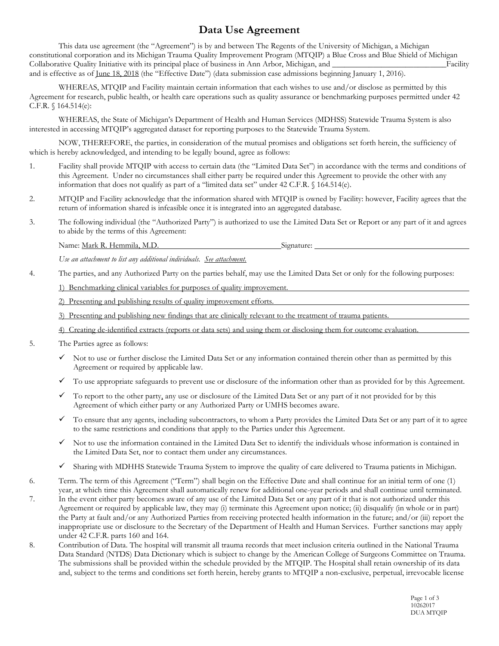## **Data Use Agreement**

This data use agreement (the "Agreement") is by and between The Regents of the University of Michigan, a Michigan constitutional corporation and its Michigan Trauma Quality Improvement Program (MTQIP) a Blue Cross and Blue Shield of Michigan Collaborative Quality Initiative with its principal place of business in Ann Arbor, Michigan, and **Example 1** Facility and is effective as of June 18, 2018 (the "Effective Date") (data submission case admissions beginning January 1, 2016).

WHEREAS, MTQIP and Facility maintain certain information that each wishes to use and/or disclose as permitted by this Agreement for research, public health, or health care operations such as quality assurance or benchmarking purposes permitted under 42 C.F.R. § 164.514(e):

WHEREAS, the State of Michigan's Department of Health and Human Services (MDHSS) Statewide Trauma System is also interested in accessing MTQIP's aggregated dataset for reporting purposes to the Statewide Trauma System.

NOW, THEREFORE, the parties, in consideration of the mutual promises and obligations set forth herein, the sufficiency of which is hereby acknowledged, and intending to be legally bound, agree as follows:

- 1. Facility shall provide MTQIP with access to certain data (the "Limited Data Set") in accordance with the terms and conditions of this Agreement. Under no circumstances shall either party be required under this Agreement to provide the other with any information that does not qualify as part of a "limited data set" under 42 C.F.R. § 164.514(e).
- 2. MTQIP and Facility acknowledge that the information shared with MTQIP is owned by Facility: however, Facility agrees that the return of information shared is infeasible once it is integrated into an aggregated database.
- 3. The following individual (the "Authorized Party") is authorized to use the Limited Data Set or Report or any part of it and agrees to abide by the terms of this Agreement:

Name: Mark R. Hemmila, M.D. Signature:

*Use an attachment to list any additional individuals. See attachment.*

4. The parties, and any Authorized Party on the parties behalf, may use the Limited Data Set or only for the following purposes:

1) Benchmarking clinical variables for purposes of quality improvement.

2) Presenting and publishing results of quality improvement efforts.

3) Presenting and publishing new findings that are clinically relevant to the treatment of trauma patients.

- 4) Creating de-identified extracts (reports or data sets) and using them or disclosing them for outcome evaluation.
- 5. The Parties agree as follows:
	- $\checkmark$  Not to use or further disclose the Limited Data Set or any information contained therein other than as permitted by this Agreement or required by applicable law.
	- $\checkmark$  To use appropriate safeguards to prevent use or disclosure of the information other than as provided for by this Agreement.
	- $\checkmark$  To report to the other party, any use or disclosure of the Limited Data Set or any part of it not provided for by this Agreement of which either party or any Authorized Party or UMHS becomes aware.
	- $\checkmark$  To ensure that any agents, including subcontractors, to whom a Party provides the Limited Data Set or any part of it to agree to the same restrictions and conditions that apply to the Parties under this Agreement.
	- $\checkmark$  Not to use the information contained in the Limited Data Set to identify the individuals whose information is contained in the Limited Data Set, nor to contact them under any circumstances.
	- Sharing with MDHHS Statewide Trauma System to improve the quality of care delivered to Trauma patients in Michigan.
- 6. Term. The term of this Agreement ("Term") shall begin on the Effective Date and shall continue for an initial term of one (1) year, at which time this Agreement shall automatically renew for additional one-year periods and shall continue until terminated.
- 7. In the event either party becomes aware of any use of the Limited Data Set or any part of it that is not authorized under this Agreement or required by applicable law, they may (i) terminate this Agreement upon notice; (ii) disqualify (in whole or in part) the Party at fault and/or any Authorized Parties from receiving protected health information in the future; and/or (iii) report the inappropriate use or disclosure to the Secretary of the Department of Health and Human Services. Further sanctions may apply under 42 C.F.R. parts 160 and 164.
- 8. Contribution of Data. The hospital will transmit all trauma records that meet inclusion criteria outlined in the National Trauma Data Standard (NTDS) Data Dictionary which is subject to change by the American College of Surgeons Committee on Trauma. The submissions shall be provided within the schedule provided by the MTQIP. The Hospital shall retain ownership of its data and, subject to the terms and conditions set forth herein, hereby grants to MTQIP a non-exclusive, perpetual, irrevocable license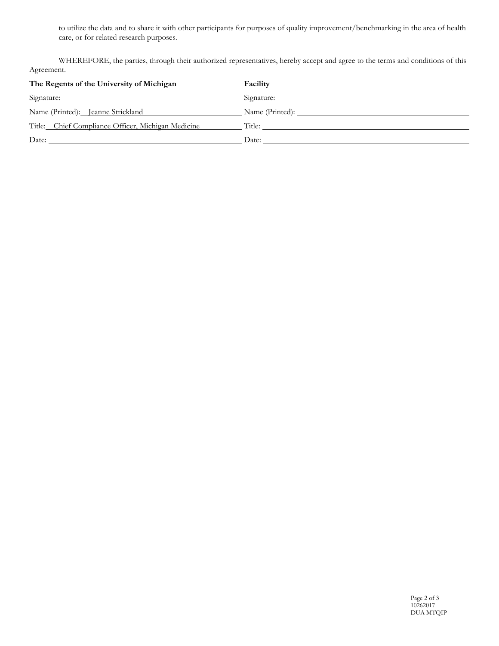to utilize the data and to share it with other participants for purposes of quality improvement/benchmarking in the area of health care, or for related research purposes.

WHEREFORE, the parties, through their authorized representatives, hereby accept and agree to the terms and conditions of this Agreement.

| The Regents of the University of Michigan                        | Facility              |
|------------------------------------------------------------------|-----------------------|
|                                                                  |                       |
|                                                                  |                       |
| Title: Chief Compliance Officer, Michigan Medicine Title: Title: |                       |
| Date:                                                            | Date: $\qquad \qquad$ |